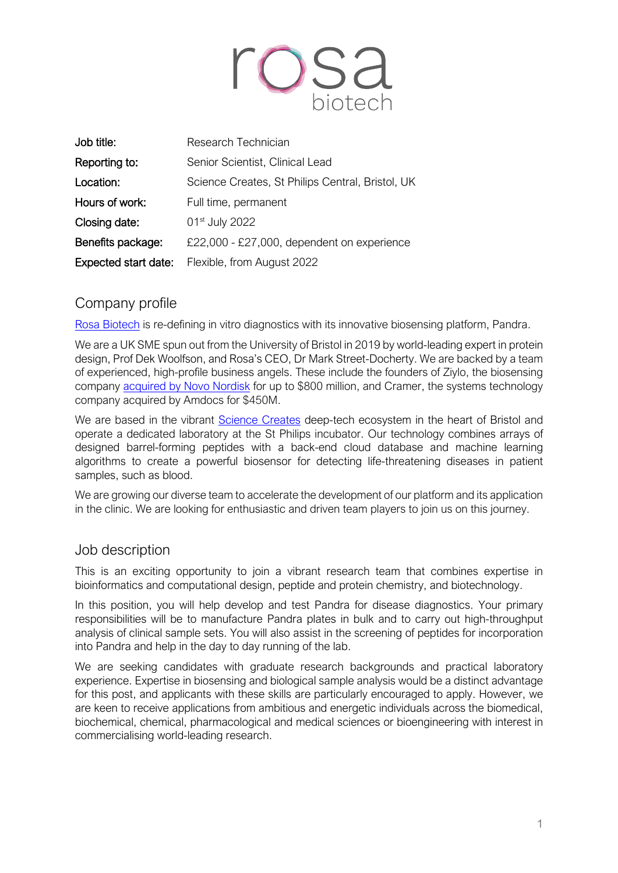

| Job title:                  | Research Technician                              |
|-----------------------------|--------------------------------------------------|
| Reporting to:               | Senior Scientist, Clinical Lead                  |
| Location:                   | Science Creates, St Philips Central, Bristol, UK |
| Hours of work:              | Full time, permanent                             |
| Closing date:               | 01 <sup>st</sup> July 2022                       |
| Benefits package:           | £22,000 - £27,000, dependent on experience       |
| <b>Expected start date:</b> | Flexible, from August 2022                       |

# Company profile

Rosa Biotech is re-defining in vitro diagnostics with its innovative biosensing platform, Pandra.

We are a UK SME spun out from the University of Bristol in 2019 by world-leading expert in protein design, Prof Dek Woolfson, and Rosa's CEO, Dr Mark Street-Docherty. We are backed by a team of experienced, high-profile business angels. These include the founders of Ziylo, the biosensing company acquired by Novo Nordisk for up to \$800 million, and Cramer, the systems technology company acquired by Amdocs for \$450M.

We are based in the vibrant Science Creates deep-tech ecosystem in the heart of Bristol and operate a dedicated laboratory at the St Philips incubator. Our technology combines arrays of designed barrel-forming peptides with a back-end cloud database and machine learning algorithms to create a powerful biosensor for detecting life-threatening diseases in patient samples, such as blood.

We are growing our diverse team to accelerate the development of our platform and its application in the clinic. We are looking for enthusiastic and driven team players to join us on this journey.

### Job description

This is an exciting opportunity to join a vibrant research team that combines expertise in bioinformatics and computational design, peptide and protein chemistry, and biotechnology.

In this position, you will help develop and test Pandra for disease diagnostics. Your primary responsibilities will be to manufacture Pandra plates in bulk and to carry out high-throughput analysis of clinical sample sets. You will also assist in the screening of peptides for incorporation into Pandra and help in the day to day running of the lab.

We are seeking candidates with graduate research backgrounds and practical laboratory experience. Expertise in biosensing and biological sample analysis would be a distinct advantage for this post, and applicants with these skills are particularly encouraged to apply. However, we are keen to receive applications from ambitious and energetic individuals across the biomedical, biochemical, chemical, pharmacological and medical sciences or bioengineering with interest in commercialising world-leading research.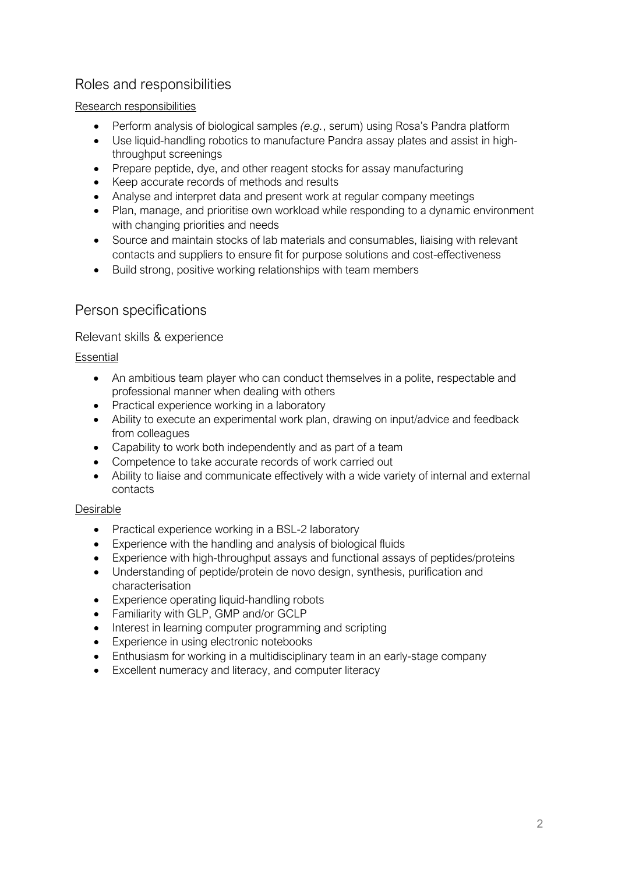# Roles and responsibilities

#### Research responsibilities

- Perform analysis of biological samples *(e.g.*, serum) using Rosa's Pandra platform
- Use liquid-handling robotics to manufacture Pandra assay plates and assist in highthroughput screenings
- Prepare peptide, dye, and other reagent stocks for assay manufacturing
- Keep accurate records of methods and results
- Analyse and interpret data and present work at regular company meetings
- Plan, manage, and prioritise own workload while responding to a dynamic environment with changing priorities and needs
- Source and maintain stocks of lab materials and consumables, liaising with relevant contacts and suppliers to ensure fit for purpose solutions and cost-effectiveness
- Build strong, positive working relationships with team members

### Person specifications

#### Relevant skills & experience

#### Essential

- An ambitious team player who can conduct themselves in a polite, respectable and professional manner when dealing with others
- Practical experience working in a laboratory
- Ability to execute an experimental work plan, drawing on input/advice and feedback from colleagues
- Capability to work both independently and as part of a team
- Competence to take accurate records of work carried out
- Ability to liaise and communicate effectively with a wide variety of internal and external contacts

#### Desirable

- Practical experience working in a BSL-2 laboratory
- Experience with the handling and analysis of biological fluids
- Experience with high-throughput assays and functional assays of peptides/proteins
- Understanding of peptide/protein de novo design, synthesis, purification and characterisation
- Experience operating liquid-handling robots
- Familiarity with GLP, GMP and/or GCLP
- Interest in learning computer programming and scripting
- Experience in using electronic notebooks
- Enthusiasm for working in a multidisciplinary team in an early-stage company
- Excellent numeracy and literacy, and computer literacy